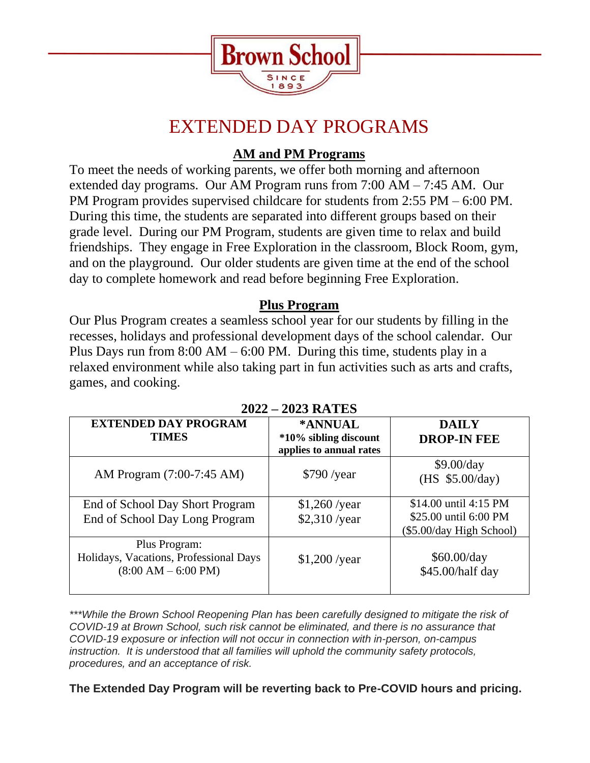

# EXTENDED DAY PROGRAMS

## **AM and PM Programs**

To meet the needs of working parents, we offer both morning and afternoon extended day programs. Our AM Program runs from 7:00 AM – 7:45 AM. Our PM Program provides supervised childcare for students from 2:55 PM – 6:00 PM. During this time, the students are separated into different groups based on their grade level. During our PM Program, students are given time to relax and build friendships. They engage in Free Exploration in the classroom, Block Room, gym, and on the playground. Our older students are given time at the end of the school day to complete homework and read before beginning Free Exploration.

## **Plus Program**

Our Plus Program creates a seamless school year for our students by filling in the recesses, holidays and professional development days of the school calendar. Our Plus Days run from  $8:00 \text{ AM} - 6:00 \text{ PM}$ . During this time, students play in a relaxed environment while also taking part in fun activities such as arts and crafts, games, and cooking.

| <b>EXTENDED DAY PROGRAM</b><br><b>TIMES</b>                                      | *ANNUAL<br>*10% sibling discount<br>applies to annual rates | <b>DAILY</b><br><b>DROP-IN FEE</b>                                         |  |  |
|----------------------------------------------------------------------------------|-------------------------------------------------------------|----------------------------------------------------------------------------|--|--|
| AM Program (7:00-7:45 AM)                                                        | $$790$ /year                                                | \$9.00/day<br>(HS $$5.00/day)$                                             |  |  |
| End of School Day Short Program<br>End of School Day Long Program                | $$1,260$ /year<br>\$2,310 /year                             | \$14.00 until 4:15 PM<br>\$25.00 until 6:00 PM<br>(\$5.00/day High School) |  |  |
| Plus Program:<br>Holidays, Vacations, Professional Days<br>$(8:00 AM - 6:00 PM)$ | $$1,200$ /year                                              | \$60.00/day<br>\$45.00/half day                                            |  |  |

### **2022 – 2023 RATES**

*\*\*\*While the Brown School Reopening Plan has been carefully designed to mitigate the risk of COVID-19 at Brown School, such risk cannot be eliminated, and there is no assurance that COVID-19 exposure or infection will not occur in connection with in-person, on-campus instruction. It is understood that all families will uphold the community safety protocols, procedures, and an acceptance of risk.*

**The Extended Day Program will be reverting back to Pre-COVID hours and pricing.**